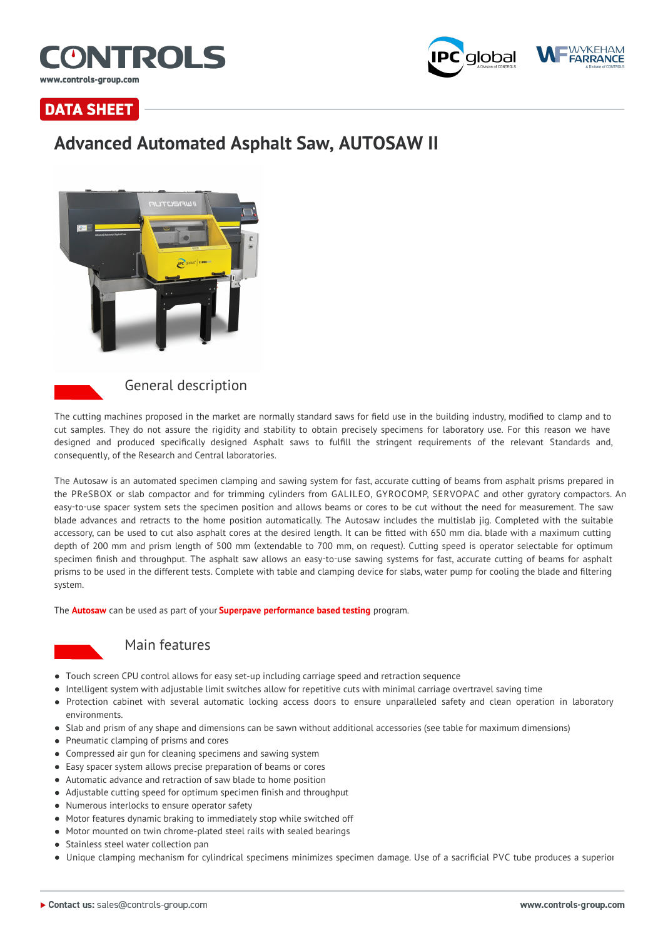



## **DATA SHEET**

# **Advanced Automated Asphalt Saw, AUTOSAW II**





### General description

The cutting machines proposed in the market are normally standard saws for field use in the building industry, modified to clamp and to cut samples. They do not assure the rigidity and stability to obtain precisely specimens for laboratory use. For this reason we have designed and produced specifically designed Asphalt saws to fulfill the stringent requirements of the relevant Standards and, consequently, of the Research and Central laboratories.

The Autosaw is an automated specimen clamping and sawing system for fast, accurate cutting of beams from asphalt prisms prepared in the PReSBOX or slab compactor and for trimming cylinders from GALILEO, GYROCOMP, SERVOPAC and other gyratory compactors. An easy-to-use spacer system sets the specimen position and allows beams or cores to be cut without the need for measurement. The saw blade advances and retracts to the home position automatically. The Autosaw includes the multislab jig. Completed with the suitable accessory, can be used to cut also asphalt cores at the desired length. It can be fitted with 650 mm dia. blade with a maximum cutting depth of 200 mm and prism length of 500 mm (extendable to 700 mm, on request). Cutting speed is operator selectable for optimum specimen finish and throughput. The asphalt saw allows an easy-to-use sawing systems for fast, accurate cutting of beams for asphalt prisms to be used in the different tests. Complete with table and clamping device for slabs, water pump for cooling the blade and filtering system.

The **Autosaw** can be used as part of your **Superpave performance based testing** program.



### Main features

- Touch screen CPU control allows for easy set-up including carriage speed and retraction sequence
- Intelligent system with adjustable limit switches allow for repetitive cuts with minimal carriage overtravel saving time
- Protection cabinet with several automatic locking access doors to ensure unparalleled safety and clean operation in laboratory environments.
- Slab and prism of any shape and dimensions can be sawn without additional accessories (see table for maximum dimensions)
- Pneumatic clamping of prisms and cores
- Compressed air gun for cleaning specimens and sawing system
- Easy spacer system allows precise preparation of beams or cores
- Automatic advance and retraction of saw blade to home position
- Adjustable cutting speed for optimum specimen finish and throughput
- Numerous interlocks to ensure operator safety
- Motor features dynamic braking to immediately stop while switched off
- Motor mounted on twin chrome-plated steel rails with sealed bearings
- **Stainless steel water collection pan**
- Unique clamping mechanism for cylindrical specimens minimizes specimen damage. Use of a sacrificial PVC tube produces a superior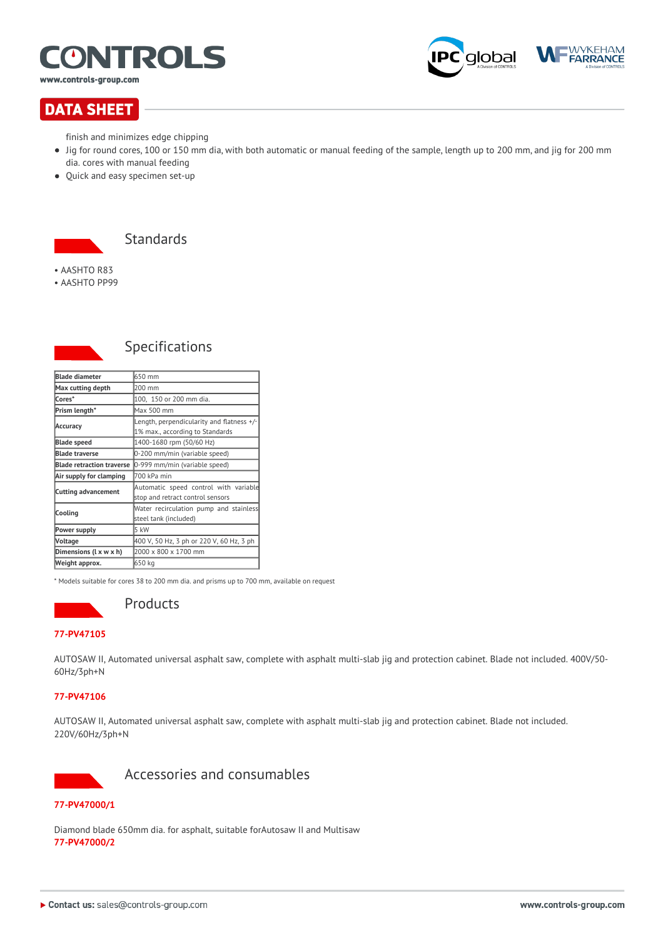

www.controls-group.com



## **DATA SHEET**

finish and minimizes edge chipping

- Jig for round cores, 100 or 150 mm dia, with both automatic or manual feeding of the sample, length up to 200 mm, and jig for 200 mm dia. cores with manual feeding
- Quick and easy specimen set-up



• AASHTO R83

• AASHTO PP99



### Specifications

| <b>Blade diameter</b>            | 650 mm                                                                       |
|----------------------------------|------------------------------------------------------------------------------|
| Max cutting depth                | 200 mm                                                                       |
| lCores*                          | 100, 150 or 200 mm dia.                                                      |
| Prism length*                    | Max 500 mm                                                                   |
| Accuracy                         | Length, perpendicularity and flatness +/-<br>1% max., according to Standards |
| <b>Blade speed</b>               | 1400-1680 rpm (50/60 Hz)                                                     |
| <b>Blade traverse</b>            | 0-200 mm/min (variable speed)                                                |
| <b>Blade retraction traverse</b> | 0-999 mm/min (variable speed)                                                |
| Air supply for clamping          | 700 kPa min                                                                  |
| Cutting advancement              | Automatic speed control with variable<br>stop and retract control sensors    |
| Cooling                          | Water recirculation pump and stainless<br>steel tank (included)              |
| Power supply                     | 5 kW                                                                         |
| <b>Voltage</b>                   | 400 V, 50 Hz, 3 ph or 220 V, 60 Hz, 3 ph                                     |
| Dimensions (L x w x h)           | 2000 x 800 x 1700 mm                                                         |
| Weight approx.                   | 650 kg                                                                       |

\* Models suitable for cores 38 to 200 mm dia. and prisms up to 700 mm, available on request



## Products

#### **77-PV47105**

AUTOSAW II, Automated universal asphalt saw, complete with asphalt multi-slab jig and protection cabinet. Blade not included. 400V/50- 60Hz/3ph+N

#### **77-PV47106**

AUTOSAW II, Automated universal asphalt saw, complete with asphalt multi-slab jig and protection cabinet. Blade not included. 220V/60Hz/3ph+N



Accessories and consumables

#### **77-PV47000/1**

Diamond blade 650mm dia. for asphalt, suitable forAutosaw II and Multisaw **77-PV47000/2**